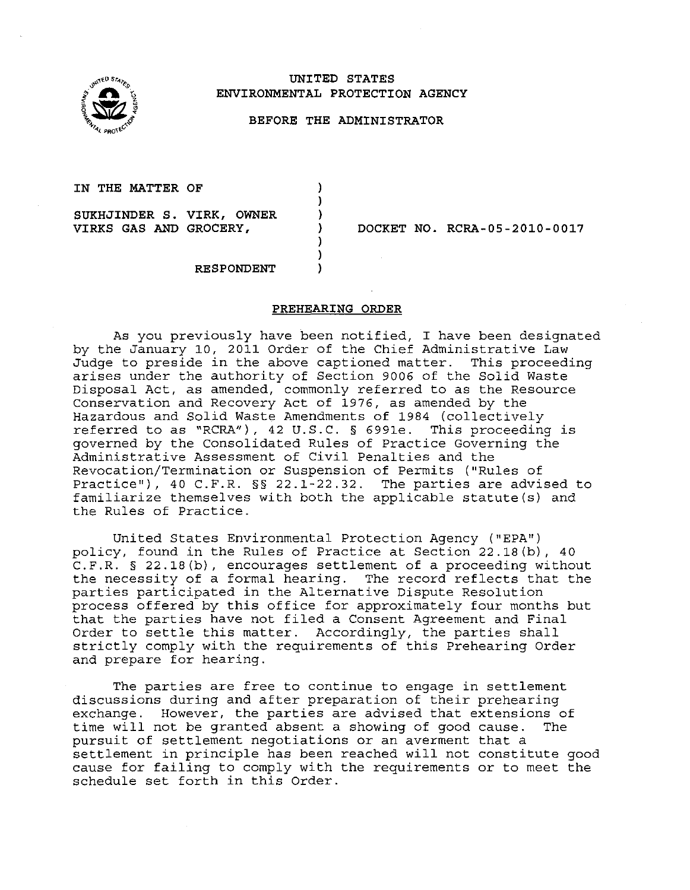

### **UNITED STATES ENVIRONMENTAL PROTECTION AGENCY**

#### **BEFORE THE ADMINISTRATOR**

) ) ) ) ) ) )

**IN THE MATTER OF** 

**SUKHJINDER S. VIRK, OWNER** 

**VIRKS GAS AND GROCERY, DOCKET NO. RCRA-05-2010-0017** 

**RESPONDENT** 

### **PREHEARING ORDER**

As you previously have been notified, I have been designated by the January 10, 2011 Order of the Chief Administrative Law Judge to preside in the above captioned matter. This proceeding arises under the authority of Section 9006 of the Solid Waste Disposal Act, as amended, commonly referred to as the Resource Conservation and Recovery Act of 1976, as amended by the Hazardous and Solid Waste Amendments of 1984 (collectively referred to as "RCRA"), 42 U.S.C. § 699le. This proceeding is governed by the Consolidated Rules of Practice Governing the Administrative Assessment of Civil Penalties and the Revocation/Termination or Suspension of Permits ("Rules of Practice''), 40 C.F.R. §§ 22.1-22.32. The parties are advised to familiarize themselves with both the applicable statute(s) and the Rules of Practice.

United States Environmental Protection Agency ("EPA") policy, found in the Rules of Practice at Section 22.18(b), 40 C.F.R. § 22.18(b), encourages settlement of a proceeding without the necessity of a formal hearing. The record reflects that the parties participated in the Alternative Dispute Resolution process offered by this office for approximately four months but that the parties have not filed a Consent Agreement and Final Order to settle this matter. Accordingly, the parties shall strictly comply with the requirements of this Prehearing Order and prepare for hearing.

The parties are free to continue to engage in settlement discussions during and after preparation of their prehearing exchange. However, the parties are advised that extensions of time will not be granted absent a showing of good cause. The pursuit of settlement negotiations or an averment that a settlement in principle has been reached will not constitute good cause for failing to comply with the requirements or to meet the schedule set forth in this Order.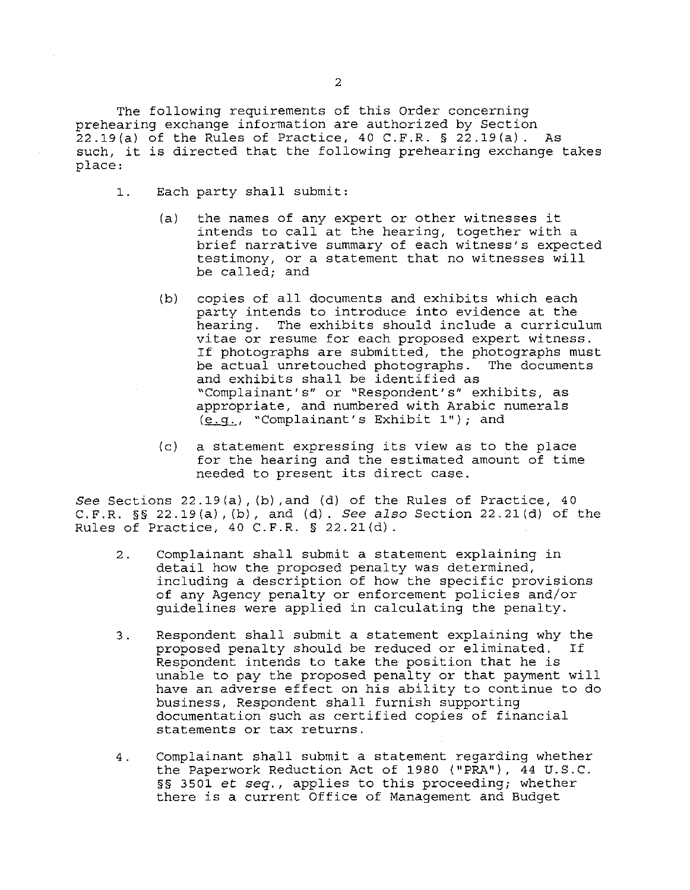The following requirements of this Order concerning prehearing exchange information are authorized by Section  $22.19(a)$  of the Rules of Practice, 40 C.F.R. § 22.19(a). As such, it is directed that the following prehearing exchange takes place:

- 1. Each party shall submit:
	- (a) the names of any expert or other witnesses it intends to call at the hearing, together with a brief narrative summary of each witness's expected testimony, or a statement that no witnesses will be called; and
	- (b) copies of all documents and exhibits which each party intends to introduce into evidence at the<br>hearing. The exhibits should include a curricu. The exhibits should include a curriculum vitae or resume for each proposed expert witness. If photographs are submitted, the photographs must be actual unretouched photographs. The documents and exhibits shall be identified as "Complainant's" or "Respondent's" exhibits, as appropriate, and numbered with Arabic numerals  $(e,q., "Complainant's Exhibit 1");$  and
	- (c) a statement expressing its view as to the place for the hearing and the estimated amount of time needed to present its direct case.

See Sections 22.19(a), (b), and (d) of the Rules of Practice, 40 C.F.R.  $\S$  22.19(a), (b), and (d). See also Section 22.21(d) of the Rules of Practice, 40 C.F.R. § 22.21(d).

- 2. Complainant shall submit a statement explaining in detail how the proposed penalty was determined, including a description of how the specific provisions of any Agency penalty or enforcement policies and/or guidelines were applied in calculating the penalty.
- 3. Respondent shall submit a statement explaining why the proposed penalty should be reduced or eliminated. Respondent intends to take the position that he is unable to pay the proposed penalty or that payment will have an adverse effect on his ability to continue to do business, Respondent shall furnish supporting documentation such as certified copies of financial statements or tax returns.
- 4. Complainant shall submit a statement regarding whether the Paperwork Reduction Act of 1980 ("PRA"), 44 U.S.C. §§ 3501 et *seq.,* applies to this proceeding; whether there is a current Office of Management and Budget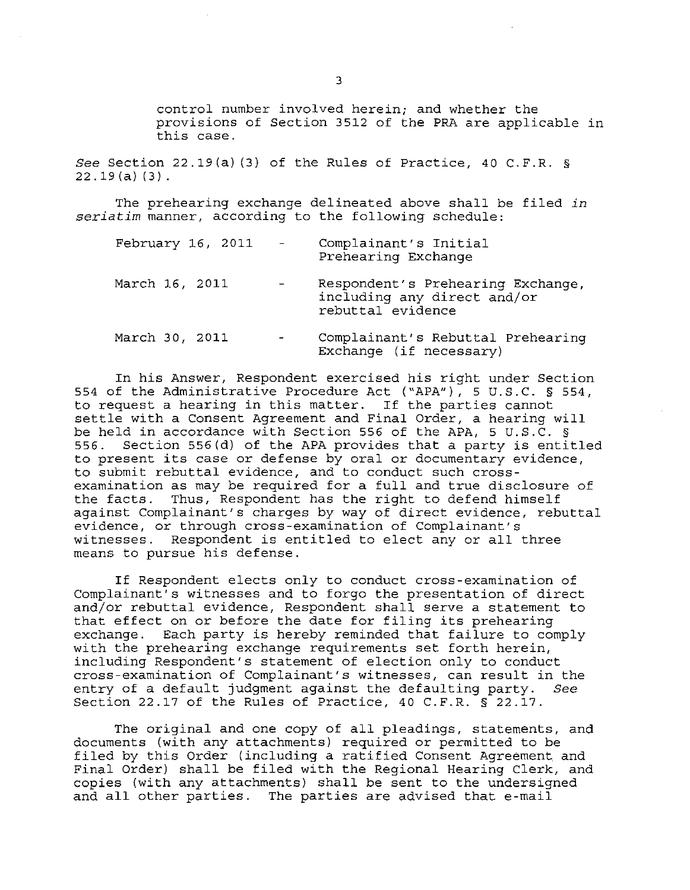control number involved herein; and whether the provisions of Section 3512 of the PRA are applicable in this case.

*See* Section 22.19(a) (3) of the Rules of Practice, 40 C.F.R. § 22.19(a) (3).

The prehearing exchange delineated above shall be filed *in seriatim* manner, according to the following schedule:

| February 16, 2011 | $\mathcal{L}_{\text{max}} = \mathcal{L}_{\text{max}}$ | Complainant's Initial<br>Prehearing Exchange                                          |
|-------------------|-------------------------------------------------------|---------------------------------------------------------------------------------------|
| March 16, 2011    | $\sim$                                                | Respondent's Prehearing Exchange,<br>including any direct and/or<br>rebuttal evidence |
| March 30, 2011    | $\overline{\phantom{a}}$                              | Complainant's Rebuttal Prehearing<br>Exchange (if necessary)                          |

In his Answer, Respondent exercised his right under Section 554 of the Administrative Procedure Act ("APA"), 5 U.S.C. § 554, to request a hearing in this matter. If the parties cannot settle with a Consent Agreement and Final Order, a hearing will be held in accordance with Section 556 of the APA, 5 U.S.C. §<br>556. Section 556(d) of the APA provides that a party is entip Section 556(d) of the APA provides that a party is entitled to present its case or defense by oral or documentary evidence, to submit rebuttal evidence, and to conduct such crossexamination as may be required for a full and true disclosure of the facts. Thus, Respondent has the right to defend himself against Complainant's charges by way of direct evidence, rebuttal evidence, or through cross-examination of Complainant's witnesses. Respondent is entitled to elect any or all three means to pursue his defense.

If Respondent elects only to conduct cross-examination of Complainant's witnesses and to forgo the presentation of direct and/or rebuttal evidence, Respondent shall serve a statement to that effect on or before the date for filing its prehearing exchange. Each party is hereby reminded that failure to comply with the prehearing exchange requirements set forth herein, including Respondent's statement of election only to conduct cross-examination of Complainant's witnesses, can result in the entry of a default judgment against the defaulting party. *See*  Section 22.17 of the Rules of Practice, 40 C.F.R. § 22.17.

The original and one copy of all pleadings, statements, and documents (with any attachments) required or permitted to be filed by this Order (including a ratified Consent Agreement and Final Order) shall be filed with the Regional Hearing Clerk, and copies (with any attachments) shall be sent to the undersigned and all other parties. The parties are advised that e-mail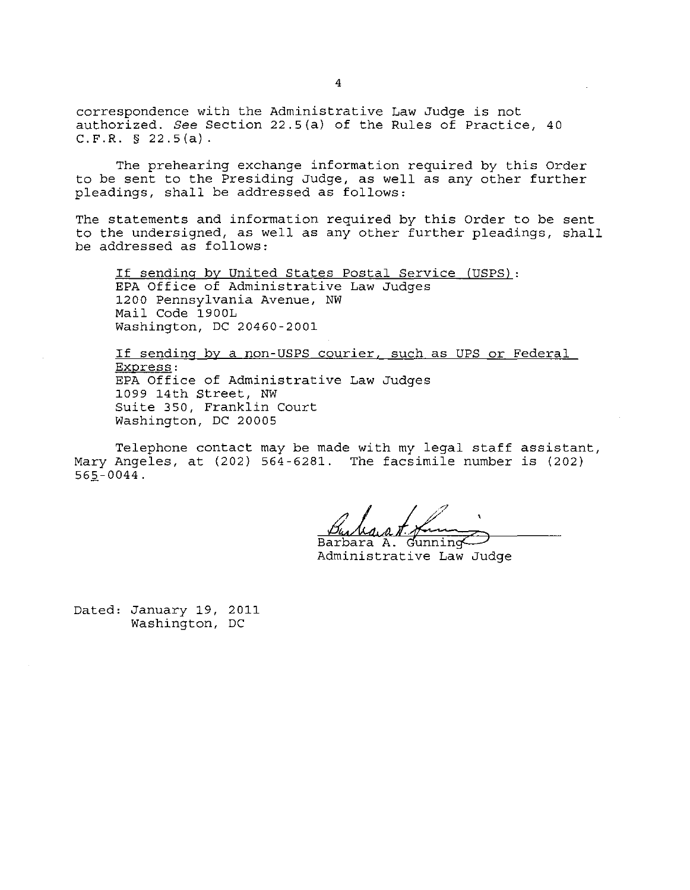correspondence with the Administrative Law Judge is not authorized. *See* Section 22.5(a) of the Rules of Practice, 40 C.F.R. § 22.5(a).

The prehearing exchange information required by this Order to be sent to the Presiding Judge, as well as any other further pleadings, shall be addressed as follows:

The statements and information required by this Order to be sent to the undersigned, as well as any other further pleadings, shall be addressed as follows:

If sending by United States Postal Service (USPS): EPA Office of Administrative Law Judges 1200 Pennsylvania Avenue, NW Mail Code 1900L Washington, DC 20460-2001

If sending by a non-USPS courier, such as UPS or Federal Express: EPA Office of Administrative Law Judges 1099 14th Street, NW Suite 350, Franklin Court Washington, DC 20005

Telephone contact may be made with my legal staff assistant, Mary Angeles, at (202) 564-6281. The facsimile number is (202)  $565 - 0044$ .

Barbara A. Gunning Administrative Law Judge

Dated: January 19, 2011 Washington, DC